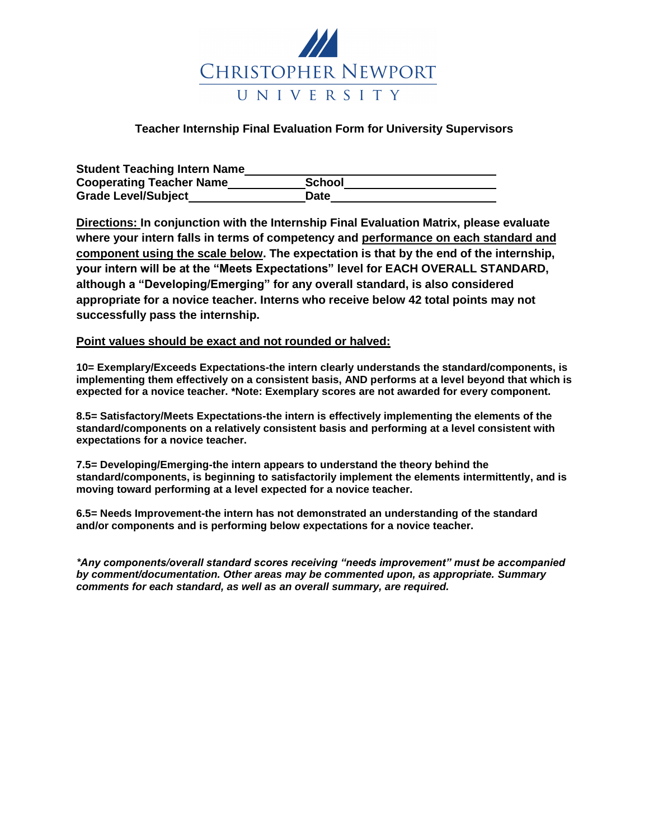

# **Teacher Internship Final Evaluation Form for University Supervisors**

| <b>Student Teaching Intern Name</b> |             |  |
|-------------------------------------|-------------|--|
| <b>Cooperating Teacher Name</b>     | School      |  |
| <b>Grade Level/Subject</b>          | <b>Date</b> |  |

**Directions: In conjunction with the Internship Final Evaluation Matrix, please evaluate where your intern falls in terms of competency and performance on each standard and component using the scale below. The expectation is that by the end of the internship, your intern will be at the "Meets Expectations" level for EACH OVERALL STANDARD, although a "Developing/Emerging" for any overall standard, is also considered appropriate for a novice teacher. Interns who receive below 42 total points may not successfully pass the internship.**

### **Point values should be exact and not rounded or halved:**

**10= Exemplary/Exceeds Expectations-the intern clearly understands the standard/components, is implementing them effectively on a consistent basis, AND performs at a level beyond that which is expected for a novice teacher. \*Note: Exemplary scores are not awarded for every component.**

**8.5= Satisfactory/Meets Expectations-the intern is effectively implementing the elements of the standard/components on a relatively consistent basis and performing at a level consistent with expectations for a novice teacher.**

**7.5= Developing/Emerging-the intern appears to understand the theory behind the standard/components, is beginning to satisfactorily implement the elements intermittently, and is moving toward performing at a level expected for a novice teacher.**

**6.5= Needs Improvement-the intern has not demonstrated an understanding of the standard and/or components and is performing below expectations for a novice teacher.** 

*\*Any components/overall standard scores receiving "needs improvement" must be accompanied by comment/documentation. Other areas may be commented upon, as appropriate. Summary comments for each standard, as well as an overall summary, are required.*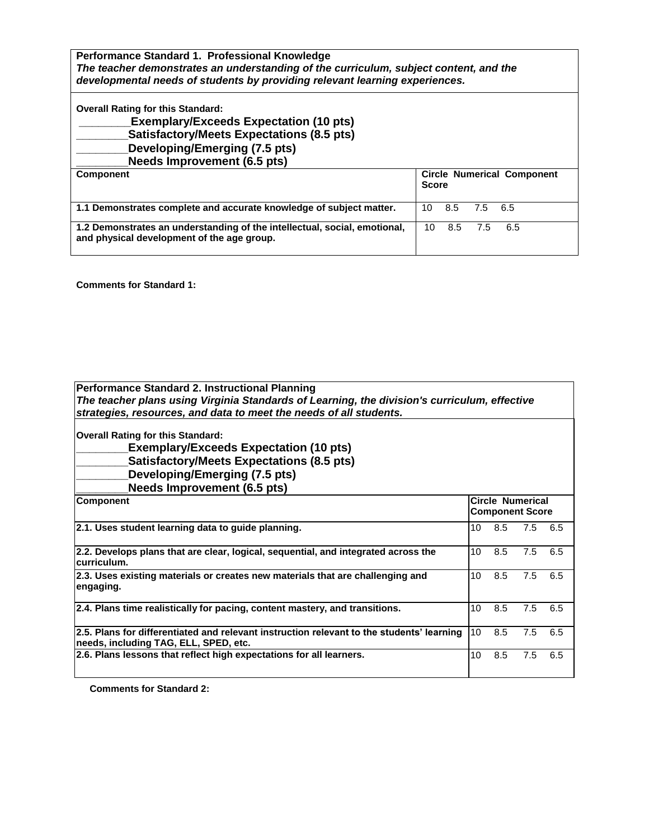**Performance Standard 1. Professional Knowledge** *The teacher demonstrates an understanding of the curriculum, subject content, and the developmental needs of students by providing relevant learning experiences.*

**Overall Rating for this Standard:**

**\_\_\_\_\_\_\_\_Exemplary/Exceeds Expectation (10 pts)**

**\_\_\_\_\_\_\_\_Satisfactory/Meets Expectations (8.5 pts)**

**\_\_\_\_\_\_\_\_Developing/Emerging (7.5 pts)** 

**\_\_\_\_\_\_\_\_Needs Improvement (6.5 pts) Circle Numerical Component Score 1.1 Demonstrates complete and accurate knowledge of subject matter.** 10 8.5 7.5 6.5 **1.2 Demonstrates an understanding of the intellectual, social, emotional, and physical development of the age group.**  10 8.5 7.5 6.5

**Comments for Standard 1:**

| <b>Performance Standard 2. Instructional Planning</b>                                                                              |                 |                        |     |     |
|------------------------------------------------------------------------------------------------------------------------------------|-----------------|------------------------|-----|-----|
| The teacher plans using Virginia Standards of Learning, the division's curriculum, effective                                       |                 |                        |     |     |
| strategies, resources, and data to meet the needs of all students.                                                                 |                 |                        |     |     |
| <b>Overall Rating for this Standard:</b>                                                                                           |                 |                        |     |     |
| <b>Exemplary/Exceeds Expectation (10 pts)</b>                                                                                      |                 |                        |     |     |
| <b>Satisfactory/Meets Expectations (8.5 pts)</b>                                                                                   |                 |                        |     |     |
| Developing/Emerging (7.5 pts)                                                                                                      |                 |                        |     |     |
| Needs Improvement (6.5 pts)                                                                                                        |                 |                        |     |     |
| <b>Component</b>                                                                                                                   |                 | Circle Numerical       |     |     |
|                                                                                                                                    |                 | <b>Component Score</b> |     |     |
| 2.1. Uses student learning data to guide planning.                                                                                 | 10 <sup>°</sup> | 8.5                    | 7.5 | 6.5 |
| 2.2. Develops plans that are clear, logical, sequential, and integrated across the<br>curriculum.                                  | 10              | 8.5                    | 7.5 | 6.5 |
| 2.3. Uses existing materials or creates new materials that are challenging and<br>engaging.                                        | 10 <sup>°</sup> | 8.5                    | 7.5 | 6.5 |
| 2.4. Plans time realistically for pacing, content mastery, and transitions.                                                        | 10              | 8.5                    | 7.5 | 6.5 |
| 2.5. Plans for differentiated and relevant instruction relevant to the students' learning<br>needs, including TAG, ELL, SPED, etc. | 10              | 8.5                    | 7.5 | 6.5 |
| 2.6. Plans lessons that reflect high expectations for all learners.                                                                | 10              | 8.5                    | 7.5 | 6.5 |

**Comments for Standard 2:**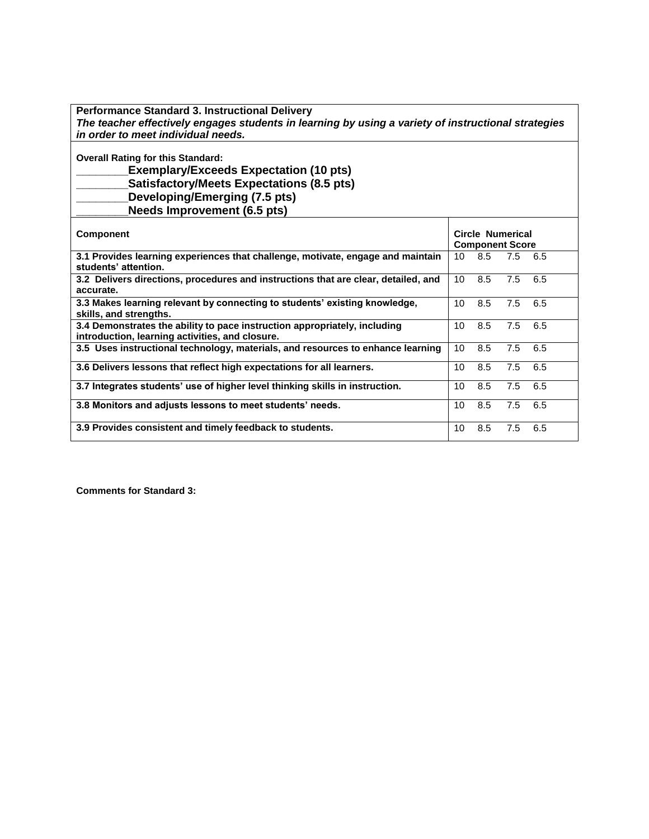| <b>Performance Standard 3. Instructional Delivery</b>                                                                                                                                                                |    |                                            |     |     |
|----------------------------------------------------------------------------------------------------------------------------------------------------------------------------------------------------------------------|----|--------------------------------------------|-----|-----|
| The teacher effectively engages students in learning by using a variety of instructional strategies                                                                                                                  |    |                                            |     |     |
| in order to meet individual needs.                                                                                                                                                                                   |    |                                            |     |     |
| <b>Overall Rating for this Standard:</b><br><b>Exemplary/Exceeds Expectation (10 pts)</b><br><b>Satisfactory/Meets Expectations (8.5 pts)</b><br>Developing/Emerging (7.5 pts)<br><b>Needs Improvement (6.5 pts)</b> |    |                                            |     |     |
| <b>Component</b>                                                                                                                                                                                                     |    | Circle Numerical<br><b>Component Score</b> |     |     |
| 3.1 Provides learning experiences that challenge, motivate, engage and maintain<br>students' attention.                                                                                                              | 10 | 8.5                                        | 7.5 | 6.5 |
| 3.2 Delivers directions, procedures and instructions that are clear, detailed, and<br>accurate.                                                                                                                      | 10 | 8.5                                        | 7.5 | 6.5 |
| 3.3 Makes learning relevant by connecting to students' existing knowledge,<br>skills, and strengths.                                                                                                                 | 10 | 8.5                                        | 7.5 | 6.5 |
| 3.4 Demonstrates the ability to pace instruction appropriately, including<br>introduction, learning activities, and closure.                                                                                         | 10 | 8.5                                        | 7.5 | 6.5 |
| 3.5 Uses instructional technology, materials, and resources to enhance learning                                                                                                                                      | 10 | 8.5                                        | 7.5 | 6.5 |
| 3.6 Delivers lessons that reflect high expectations for all learners.                                                                                                                                                | 10 | 8.5                                        | 7.5 | 6.5 |
| 3.7 Integrates students' use of higher level thinking skills in instruction.                                                                                                                                         | 10 | 8.5                                        | 7.5 | 6.5 |
| 3.8 Monitors and adjusts lessons to meet students' needs.                                                                                                                                                            | 10 | 8.5                                        | 7.5 | 6.5 |
| 3.9 Provides consistent and timely feedback to students.                                                                                                                                                             | 10 | 8.5                                        | 7.5 | 6.5 |
|                                                                                                                                                                                                                      |    |                                            |     |     |

**Comments for Standard 3:**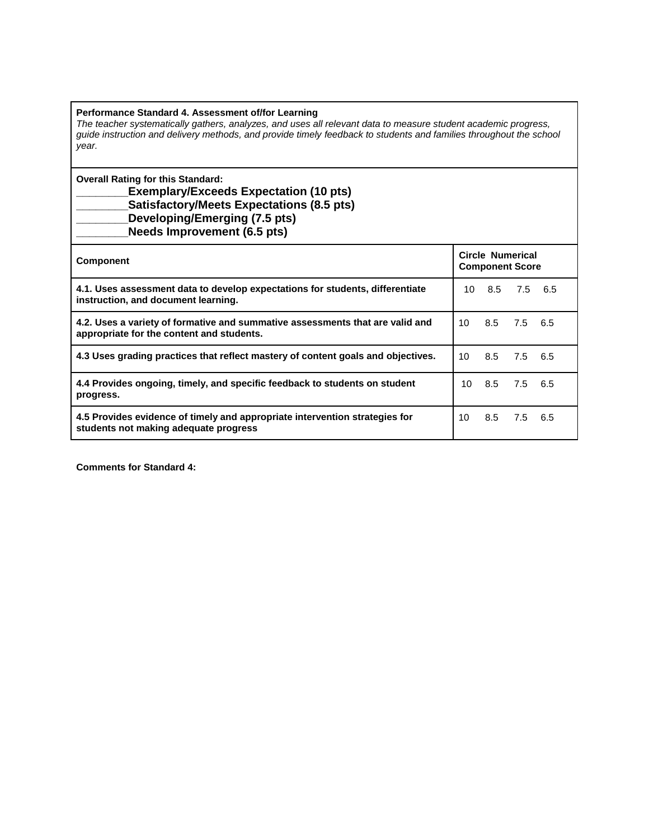#### **Performance Standard 4. Assessment of/for Learning**

*The teacher systematically gathers, analyzes, and uses all relevant data to measure student academic progress, guide instruction and delivery methods, and provide timely feedback to students and families throughout the school year.*

**Overall Rating for this Standard:**

# **\_\_\_\_\_\_\_\_Exemplary/Exceeds Expectation (10 pts) \_\_\_\_\_\_\_\_Satisfactory/Meets Expectations (8.5 pts) \_\_\_\_\_\_\_\_Developing/Emerging (7.5 pts)**

**\_\_\_\_\_\_\_\_Needs Improvement (6.5 pts)**

| <b>Component</b>                                                                                                           |                 | Circle Numerical<br><b>Component Score</b> |         |  |
|----------------------------------------------------------------------------------------------------------------------------|-----------------|--------------------------------------------|---------|--|
| 4.1. Uses assessment data to develop expectations for students, differentiate<br>instruction, and document learning.       | 10              | 8.5                                        | 7.5 6.5 |  |
| 4.2. Uses a variety of formative and summative assessments that are valid and<br>appropriate for the content and students. | 10              | 8.5                                        | 7.5 6.5 |  |
| 4.3 Uses grading practices that reflect mastery of content goals and objectives.                                           | 10 <sup>°</sup> | 8.5                                        | 7.5 6.5 |  |
| 4.4 Provides ongoing, timely, and specific feedback to students on student<br>progress.                                    | 10.             | 8.5 7.5 6.5                                |         |  |
| 4.5 Provides evidence of timely and appropriate intervention strategies for<br>students not making adequate progress       | 10              | 8.5                                        | 7.5 6.5 |  |

**Comments for Standard 4:**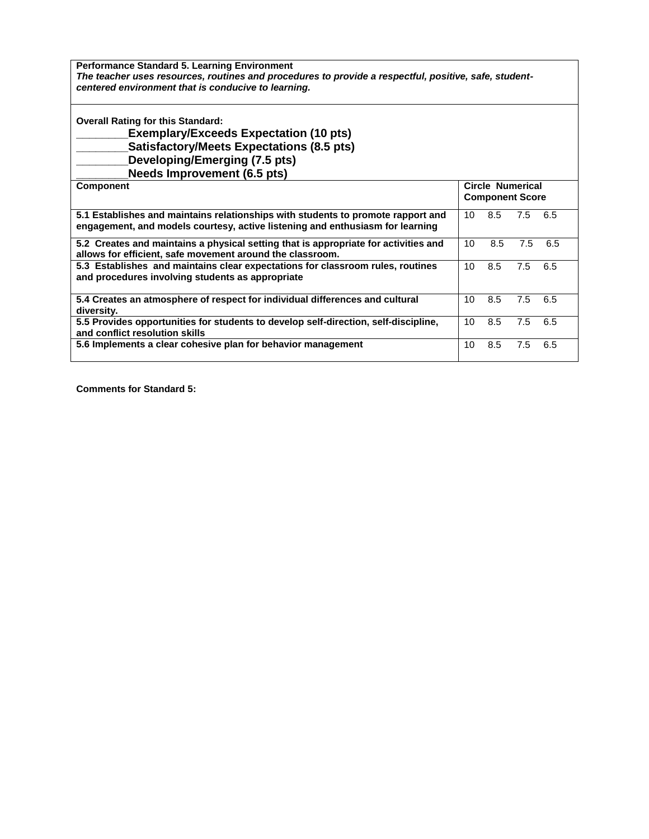**Performance Standard 5. Learning Environment**  *The teacher uses resources, routines and procedures to provide a respectful, positive, safe, studentcentered environment that is conducive to learning.*

**Overall Rating for this Standard:** 

**\_\_\_\_\_\_\_\_Exemplary/Exceeds Expectation (10 pts) \_\_\_\_\_\_\_\_Satisfactory/Meets Expectations (8.5 pts) \_\_\_\_\_\_\_\_Developing/Emerging (7.5 pts)** 

**\_\_\_\_\_\_\_\_Needs Improvement (6.5 pts)**

| <b>Component</b>                                                                                                                                                  |    | Circle Numerical<br><b>Component Score</b> |     |      |  |
|-------------------------------------------------------------------------------------------------------------------------------------------------------------------|----|--------------------------------------------|-----|------|--|
| 5.1 Establishes and maintains relationships with students to promote rapport and<br>engagement, and models courtesy, active listening and enthusiasm for learning | 10 | 8.5                                        | 7.5 | 6.5  |  |
| 5.2 Creates and maintains a physical setting that is appropriate for activities and<br>allows for efficient, safe movement around the classroom.                  | 10 | 8.5                                        | 7.5 | 6.5  |  |
| 5.3 Establishes and maintains clear expectations for classroom rules, routines<br>and procedures involving students as appropriate                                | 10 | 8.5                                        | 7.5 | 6.5  |  |
| 5.4 Creates an atmosphere of respect for individual differences and cultural<br>diversity.                                                                        | 10 | 8.5                                        | 7.5 | -6.5 |  |
| 5.5 Provides opportunities for students to develop self-direction, self-discipline,<br>and conflict resolution skills                                             | 10 | 8.5                                        | 7.5 | 6.5  |  |
| 5.6 Implements a clear cohesive plan for behavior management                                                                                                      | 10 | 8.5                                        | 7.5 | 6.5  |  |

**Comments for Standard 5:**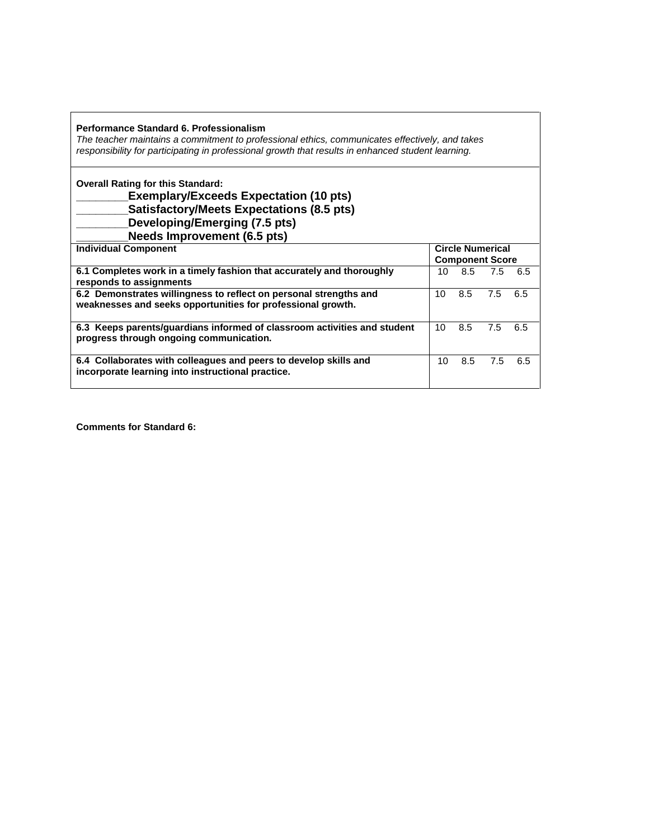| Performance Standard 6. Professionalism<br>The teacher maintains a commitment to professional ethics, communicates effectively, and takes<br>responsibility for participating in professional growth that results in enhanced student learning. |    |     |                                                   |     |
|-------------------------------------------------------------------------------------------------------------------------------------------------------------------------------------------------------------------------------------------------|----|-----|---------------------------------------------------|-----|
| <b>Overall Rating for this Standard:</b><br><b>Exemplary/Exceeds Expectation (10 pts)</b><br><b>Satisfactory/Meets Expectations (8.5 pts)</b><br>Developing/Emerging (7.5 pts)<br><b>Needs Improvement (6.5 pts)</b>                            |    |     |                                                   |     |
| <b>Individual Component</b>                                                                                                                                                                                                                     |    |     | <b>Circle Numerical</b><br><b>Component Score</b> |     |
| 6.1 Completes work in a timely fashion that accurately and thoroughly<br>responds to assignments                                                                                                                                                | 10 | 8.5 | 7.5                                               | 6.5 |
| 6.2 Demonstrates willingness to reflect on personal strengths and<br>weaknesses and seeks opportunities for professional growth.                                                                                                                | 10 | 8.5 | 7.5                                               | 6.5 |
| 6.3 Keeps parents/guardians informed of classroom activities and student<br>progress through ongoing communication.                                                                                                                             | 10 | 8.5 | 7.5                                               | 6.5 |
| 6.4 Collaborates with colleagues and peers to develop skills and<br>incorporate learning into instructional practice.                                                                                                                           | 10 | 8.5 | 7.5                                               | 6.5 |

**Comments for Standard 6:**